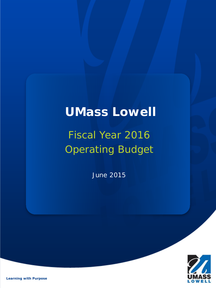## **UMass Lowell**

# Fiscal Year 2016 Operating Budget

June 2015



*Learning with Purpose*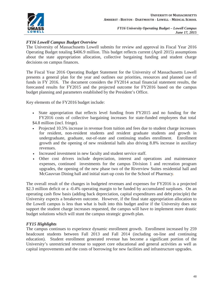

#### *FY16 Lowell Campus Budget Overview*

The University of Massachusetts Lowell submits for review and approval its Fiscal Year 2016 Operating Budget totaling \$406.9 million. This budget reflects current (April 2015) assumptions about the state appropriation allocation, collective bargaining funding and student charge decisions on campus finances.

The Fiscal Year 2016 Operating Budget Statement for the University of Massachusetts Lowell presents a general plan for the year and outlines our priorities, resources and planned use of funds in FY 2016. The document considers the FY2014 actual financial statement results, the forecasted results for FY2015 and the projected outcome for FY2016 based on the campus budget planning and parameters established by the President's Office.

Key elements of the FY2016 budget include:

• State appropriation that reflects level funding from FY2015 and no funding for the FY2016 costs of collective bargaining increases for state-funded employees that total \$4.8 million (incl. fringe).

- Projected 10.5% increase in revenue from tuition and fees due to student charge increases for resident, non-resident students and resident graduate students and growth in undergraduate, graduate, out-of-state and continuing studies enrollment. Enrollment growth and the opening of new residential halls also driving 8.8% increase in auxiliary revenues.
- Increased investment in new faculty and student service staff.
- Other cost drivers include depreciation, interest and operations and maintenance expenses, continued investments for the campus Division 1 and recreation program upgrades, the opening of the new phase two of the Riverview Suites residential hall and McGauvran Dining hall and initial start-up costs for the School of Pharmacy*.*

The overall result of the changes in budgeted revenues and expenses for FY2016 is a projected \$2.3 million deficit or a -0.4% operating margin to be funded by accumulated surpluses. On an operating cash flow basis (adding back depreciation, capital expenditures and debt principle) the University expects a breakeven outcome. However, if the final state appropriation allocation to the Lowell campus is less than what is built into this budget and/or if the University does not support the student charge increases requested, the campus will have to implement more drastic budget solutions which will stunt the campus strategic growth plan.

#### *FY15 Highlights*

The campus continues to experience dynamic enrollment growth. Enrollment increased by 259 headcount students between Fall 2013 and Fall 2014 (including on-line and continuing education). Student enrollment generated revenue has become a significant portion of the University's unrestricted revenue to support core educational and general activities as well as capital improvements and the costs of borrowing for new facilities and infrastructure upgrades.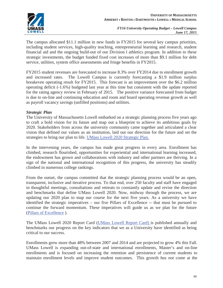

The campus allocated \$11.1 million in new funds in FY2015 for several key campus priorities, including student services, high-quality teaching, entrepreneurial learning and research, student financial aid and the ongoing build-out of our Division l athletics program. In addition to these strategic investments, the budget funded fixed cost increases of more than \$9.1 million for debt service, utilities, system office assessments and fringe benefits in FY2015.

FY2015 student revenues are forecasted to increase 8.3% over FY2014 due to enrollment growth and increased rates. The Lowell Campus is currently forecasting a \$1.9 million surplus breakeven operating result for FY2015. This forecast is an improvement over the \$6.2 million operating deficit (-1.6%) budgeted last year at this time but consistent with the update reported for the rating agency review in February of 2015. The positive variance forecasted from budget is due to on-line and continuing education and room and board operating revenue growth as well as payroll vacancy savings (unfilled positions) and utilities.

#### *Strategic Plan*

The University of Massachusetts Lowell embarked on a strategic planning process five years ago to craft a bold vision for its future and map out a blueprint to achieve its ambitious goals by 2020. Stakeholders from across the university community came together and articulated a clear vision that defined our values as an institution, laid out our direction for the future and set the strategies to bring our plan to life. UMass Lowell 2020 Strategic Plan.

In the intervening years, the campus has made great progress in every area. Enrollment has climbed, research flourished, opportunities for experiential and international learning increased, the endowment has grown and collaborations with industry and other partners are thriving. In a sign of the national and international recognition of this progress, the university has steadily climbed in numerous college rankings.

From the outset, the campus committed that the strategic planning process would be an open, transparent, inclusive and iterative process. To that end, over 250 faculty and staff have engaged in thoughtful meetings, consultations and retreats to constantly update and revise the direction and benchmarks that define UMass Lowell 2020. Now, midway through the process, we are updating our 2020 plan to map our course for the next five years. As a university we have identified the strategic imperatives – our five Pillars of Excellence -- that must be pursued to continue the forward momentum. These imperatives will guide us as we plan for the future (Pillars of Excellence ).

The UMass Lowell 2020 Report Card (UMass Lowell Report Card) is published annually and benchmarks our progress on the key indicators that we as a University have identified as being critical to our success.

Enrollments grew more than 48% between 2007 and 2014 and are projected to grow 4% this Fall. UMass Lowell is expanding out-of-state and international enrollments, Master's and on-line enrollments and is focused on increasing the retention and persistence of current students to maintain enrollment levels and improve student outcomes. This growth *has not* come at the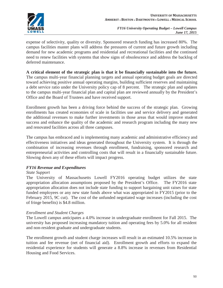

expense of selectivity, quality or diversity. Sponsored research funding has increased 80%. The campus facilities master plans will address the pressures of current and future growth including demand for new academic programs and residential and recreational facilities and the continued need to renew facilities with systems that show signs of obsolescence and address the backlog of deferred maintenance.

**A critical element of the strategic plan is that it be financially sustainable into the future.** The campus multi-year financial planning targets and annual operating budget goals are directed toward achieving positive annual operating margins, building sufficient reserves and maintaining a debt service ratio under the University policy cap of 8 percent. The strategic plan and updates to the campus multi-year financial plan and capital plan are reviewed annually by the President's Office and the Board of Trustees and have received support.

Enrollment growth has been a driving force behind the success of the strategic plan. Growing enrollments has created economies of scale in facilities use and service delivery and generated the additional revenues to make further investments in those areas that would improve student success and enhance the quality of the academic and research program including the many new and renovated facilities across all three campuses.

The campus has embraced and is implementing many academic and administrative efficiency and effectiveness initiatives and ideas generated throughout the University system. It is through the combination of increasing revenues through enrollment, fundraising, sponsored research and entrepreneurial activities and controlling costs that will result in a financially sustainable future. Slowing down any of these efforts will impact progress.

#### *FY16 Revenue and Expenditures*

#### *State Support*

The University of Massachusetts Lowell FY2016 operating budget utilizes the state appropriation allocation assumptions proposed by the President's Office. The FY2016 state appropriation allocation does not include state funding to support bargaining unit raises for state funded employees or any new state funds above what was appropriated in FY2015 (prior to the February 2015, 9C cut). The cost of the unfunded negotiated wage increases (including the cost of fringe benefits) is \$4.8 million.

#### *Enrollment and Student Charges*

The Lowell campus anticipates a 4.0% increase in undergraduate enrollment for Fall 2015. The university has proposed increasing mandatory tuition and operating fees by 5.0% for all resident and non-resident graduate and undergraduate students.

The enrollment growth and student charge increases will result in an estimated 10.5% increase in tuition and fee revenue (net of financial aid). Enrollment growth and efforts to expand the residential experience for students will generate a 8.8% increase in revenues from Residential Housing and Food Services.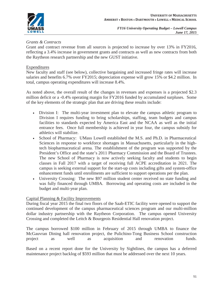

#### *Grants & Contracts*

Grant and contract revenue from all sources is projected to increase by over 13% in FY2016, reflecting a 3.4% increase in government grants and contracts as well as new contracts from both the Raytheon research partnership and the new GUST initiative.

#### Expenditures

New faculty and staff (see below), collective bargaining and increased fringe rates will increase salaries and benefits 6.7% over FY2015; depreciation expense will grow 15% or \$4.2 million. In total, campus operating expenditures will increase 8.4%.

As noted above, the overall result of the changes in revenues and expenses is a projected \$2.3 million deficit or a -0.4% operating margin for FY2016 funded by accumulated surpluses. Some of the key elements of the strategic plan that are driving these results include:

- Division I: The multi-year investment plan to elevate the campus athletic program to Division I requires funding to bring scholarships, staffing, team budgets and campus facilities to standards expected by America East and the NCAA as well as the initial entrance fees. Once full membership is achieved in year four, the campus subsidy for athletics will stabilize.
- School of Pharmacy: UMass Lowell established the M.S. and Ph.D. in Pharmaceutical Sciences in response to workforce shortages in Massachusetts, particularly in the hightech biopharmaceutical arena. The establishment of the program was supported by the President's Office and the state's 2011 Pharmacy Commission and the Board of Trustees. The new School of Pharmacy is now actively seeking faculty and students to begin classes in Fall 2017 with a target of receiving full ACPE accreditation in 2021. The campus is seeking external support for the start-up costs including gifts and system-office enhancement funds until enrollments are sufficient to support operations per the plan.
- University Crossing: The new \$97 million student center received no state funding and was fully financed through UMBA. Borrowing and operating costs are included in the budget and multi-year plan.

#### Capital Planning & Facility Improvements

During fiscal year 2015 the final two floors of the Saab-ETIC facility were opened to support the continued development of the campus pharmaceutical sciences program and our multi-million dollar industry partnership with the Raytheon Corporation. The campus opened University Crossing and completed the Leitch & Bourgeois Residential Hall renovation project.

The campus borrowed \$100 million in February of 2015 through UMBA to finance the McGauvran Dining hall renovation project, the Pulichino-Tong Business School construction project as well as acquisition and renovation funds.

Based on a recent report done for the University by Sightlines, the campus has a deferred maintenance project backlog of \$593 million that must be addressed over the next 10 years.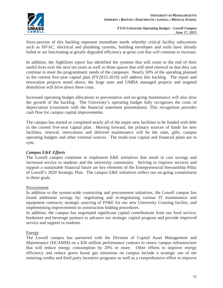

Sixty-percent of this backlog represent immediate needs whereby critical facility subsystems such as HVAC, electrical and plumbing systems, building envelopes and roofs have already failed or are functioning at greatly degraded efficiency at great cost that will continue to increase.

In addition, the Sightlines report has identified the systems that will come to the end of their useful lives over the next ten years as well as those spaces that will need renewal so that they can continue to meet the programmatic needs of the campuses. Nearly 50% of the spending planned in the current five-year capital plan (FY2015-2019) will address this backlog. The repair and renovation projects noted above, the large state and UMBA managed projects and targeted demolition will drive down these costs.

Increased operating budget allocations to preventative and on-going maintenance will also slow the growth of the backlog. The University's operating budget fully recognizes the costs of depreciation (consistent with the financial statement presentation). This recognition provides cash flow for campus capital improvements.

The campus has started or completed nearly all of the major new facilities to be funded with debt in the current five-year capital plan. Moving forward, the primary sources of funds for new facilities, renewal, renovations and deferred maintenance will be the state, gifts, campus operating budgets and other external sources. The multi-year capital and financial plans are in sync.

#### *Campus E&E Efforts*

The Lowell campus continues to implement E&E initiatives that result in cost savings and increased service to students and the university community. Striving to improve services and support a sustainable financial future are key elements of the Entrepreneurial Stewardship Pillar of Lowell's 2020 Strategic Plan. The campus E&E initiatives reflect our on-going commitment to these goals.

#### Procurement

In addition to the system-wide contracting and procurement initiatives, the Lowell campus has found additional savings by: negotiating and re-negotiating various IT maintenance and equipment contracts; strategic sourcing of FF&E for our new University Crossing facility; and implementing improvements to construction bidding procedures.

In addition, the campus has negotiated significant capital contributions from our food service, bookstore and beverage partners to advance our strategic capital program and provide improved service and support to students.

#### Energy

The Lowell campus has partnered with the Division of Capital Asset Management and Maintenance (DCAMM) on a \$26 million performance contract to renew campus infrastructure that will reduce energy consumption by 20% or more. Other efforts to improve energy efficiency and reduce green house gas emissions on campus include a strategic use of net metering credits and third party incentive programs as well as a comprehensive effort to improve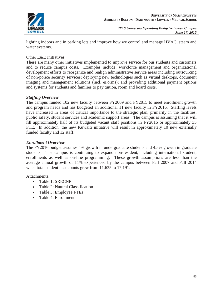

lighting indoors and in parking lots and improve how we control and manage HVAC, steam and water systems.

#### Other E&E Initiatives

There are many other initiatives implemented to improve service for our students and customers and to reduce campus costs. Examples include: workforce management and organizational development efforts to reorganize and realign administrative service areas including outsourcing of non-police security services; deploying new technologies such as virtual desktops, document imaging and management solutions (incl. eForms); and providing additional payment options and systems for students and families to pay tuition, room and board costs.

#### *Staffing Overview*

The campus funded 102 new faculty between FY2009 and FY2015 to meet enrollment growth and program needs and has budgeted an additional 11 new faculty in FY2016. Staffing levels have increased in areas of critical importance to the strategic plan, primarily in the facilities, public safety, student services and academic support areas. The campus is assuming that it will fill approximately half of its budgeted vacant staff positions in FY2016 or approximately 35 FTE. In addition, the new Kuwaiti initiative will result in approximately 10 new externally funded faculty and 12 staff.

#### *Enrollment Overview*

The FY2016 budget assumes 4% growth in undergraduate students and 4.5% growth in graduate students. The campus is continuing to expand non-resident, including international student, enrollments as well as on-line programming. These growth assumptions are less than the average annual growth of 11% experienced by the campus between Fall 2007 and Fall 2014 when total student headcounts grew from 11,635 to 17,191.

Attachments:

- Table 1: SRECNP
- Table 2: Natural Classification
- Table 3: Employee FTEs
- Table 4: Enrollment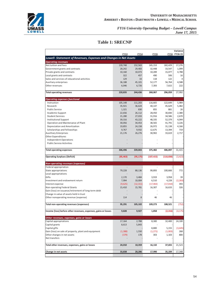

#### **Table 1: SRECNP**

| FY16 FY16-15<br><b>FY13</b><br><b>FY14</b><br><b>FY15</b><br>Lowell- Statement of Revenues, Expenses and Changes in Net Assets<br><b>Operating revenues</b><br>Net tuition and fees<br>139,748<br>152,563<br>165,153<br>182,429<br>17,276<br>28,242<br>29,483<br>32,448<br>33,547<br>1,099<br>Government grants and contracts<br>4,788<br>Private grants and contracts<br>15,077<br>10,160<br>10,073<br>10,289<br>Local grants and contracts<br>322<br>457<br>490<br>506<br>16<br>Sales and services of educational activities<br>129<br>33<br>118<br>122<br>4<br>4,588<br>Auxiliary enterprises<br>36,188<br>45,101<br>52,177<br>56,764<br>Other revenues<br>6,046<br>7,393<br>7,615<br>222<br>6,726<br><b>Total operating revenues</b><br>220,835<br>296,059<br>27,992<br>244,436<br>268,067<br><b>Operating expenses functional</b><br>Instruction<br>105,148<br>111,203<br>116,665<br>122,649<br>5,984<br>5,482<br>35,921<br>36,624<br>40,147<br>45,629<br>Research<br><b>Public Service</b><br>1,321<br>830<br>855<br>881<br>26<br>2,380<br>22,656<br>26,112<br>28,450<br>30,830<br>Academic Support<br>27,033<br>31,916<br>34,586<br>2,670<br><b>Student Services</b><br>21,280<br><b>Institutional Support</b><br>39,316<br>43,222<br>48,335<br>52,379<br>4,044<br>Operation and Maintenance of Plant<br>38,565<br>41,791<br>3,226<br>30,056<br>34,453<br>Depreciation and Amortization<br>19,855<br>24,158<br>26,972<br>31,138<br>4,166<br>Scholarships and fellowships<br>9,767<br>9,932<br>12,675<br>13,394<br>719<br><b>Auxilliary Enterprises</b><br>30,902<br>33,619<br>2,717<br>21,176<br>26,276<br><b>Other Expenditures</b><br>Independent Operations<br><b>Public Service Activities</b><br>31,415<br>306,496<br>339,843<br>375,482<br>406,897<br><b>Total operating expenses</b><br>(3, 423)<br><b>Operating Surplues (Deficit)</b><br>(85, 463)<br>(95, 175)<br>(107, 415)<br>(110, 838)<br><b>Non-operating revenues (expenses)</b><br>Federal appropriation<br>772<br>State appropriations<br>79,228<br>88,136<br>99,893<br>100,666<br>Local appropriations<br>39<br>Gifts<br>2,170<br>3,484<br>3,919<br>3,958<br>(2, 283)<br>Investment and endowment return<br>7,994<br>10,004<br>6,510<br>4,228<br>(17,010)<br>393<br>Interest expense<br>(9,625)<br>(12, 311)<br>(17, 402)<br>326<br>Non-operating Federal Grants<br>15,410<br>16,633<br>15,781<br>16,307<br>Gain (loss) on issuance/retirement of long-term debt<br>Change in value of assets held in trust<br>Other nonoperating revenue (expense)<br>114<br>46<br>46<br>8<br>95,291<br>(752)<br>Total non-operating revenues (expenses)<br>105,102<br>109,273<br>108,521<br>9,828<br>9,927<br>1,858<br>(2, 316)<br>(4, 175)<br>Income (loss) before other revenues, expenses, gains or losses<br>Other revenues, expenses, gains or losses<br>Capital appropriations<br>17,164<br>2,788<br>8,300<br>32,400<br>24,100<br>Capital grants<br>8,613<br>5,843<br>Capital gifts<br>8,800<br>(3, 645)<br>5,155<br>Gain (loss) on sale of property, plant and equipment<br>(1, 271)<br>268<br>(1,388)<br>1,550<br>(1,003)<br>Other changes in net assets<br>303<br>800<br>(379)<br>178<br>1,103<br>Net transfers<br>24,010<br>16,132<br>21,523<br>Total other revenues, expenses, gains or losses<br>10,359<br>37,655<br>33,838<br>20,286<br>17,990<br>35,339<br>17,348<br>Change in net assets |  |  | Variance |
|---------------------------------------------------------------------------------------------------------------------------------------------------------------------------------------------------------------------------------------------------------------------------------------------------------------------------------------------------------------------------------------------------------------------------------------------------------------------------------------------------------------------------------------------------------------------------------------------------------------------------------------------------------------------------------------------------------------------------------------------------------------------------------------------------------------------------------------------------------------------------------------------------------------------------------------------------------------------------------------------------------------------------------------------------------------------------------------------------------------------------------------------------------------------------------------------------------------------------------------------------------------------------------------------------------------------------------------------------------------------------------------------------------------------------------------------------------------------------------------------------------------------------------------------------------------------------------------------------------------------------------------------------------------------------------------------------------------------------------------------------------------------------------------------------------------------------------------------------------------------------------------------------------------------------------------------------------------------------------------------------------------------------------------------------------------------------------------------------------------------------------------------------------------------------------------------------------------------------------------------------------------------------------------------------------------------------------------------------------------------------------------------------------------------------------------------------------------------------------------------------------------------------------------------------------------------------------------------------------------------------------------------------------------------------------------------------------------------------------------------------------------------------------------------------------------------------------------------------------------------------------------------------------------------------------------------------------------------------------------------------------------------------------------------------------------------------------------------------------------------------------------------------------------------------------------------------------------------------------------------------------------------------------------------------------------------------------------------------------------------|--|--|----------|
|                                                                                                                                                                                                                                                                                                                                                                                                                                                                                                                                                                                                                                                                                                                                                                                                                                                                                                                                                                                                                                                                                                                                                                                                                                                                                                                                                                                                                                                                                                                                                                                                                                                                                                                                                                                                                                                                                                                                                                                                                                                                                                                                                                                                                                                                                                                                                                                                                                                                                                                                                                                                                                                                                                                                                                                                                                                                                                                                                                                                                                                                                                                                                                                                                                                                                                                                                                     |  |  |          |
|                                                                                                                                                                                                                                                                                                                                                                                                                                                                                                                                                                                                                                                                                                                                                                                                                                                                                                                                                                                                                                                                                                                                                                                                                                                                                                                                                                                                                                                                                                                                                                                                                                                                                                                                                                                                                                                                                                                                                                                                                                                                                                                                                                                                                                                                                                                                                                                                                                                                                                                                                                                                                                                                                                                                                                                                                                                                                                                                                                                                                                                                                                                                                                                                                                                                                                                                                                     |  |  |          |
|                                                                                                                                                                                                                                                                                                                                                                                                                                                                                                                                                                                                                                                                                                                                                                                                                                                                                                                                                                                                                                                                                                                                                                                                                                                                                                                                                                                                                                                                                                                                                                                                                                                                                                                                                                                                                                                                                                                                                                                                                                                                                                                                                                                                                                                                                                                                                                                                                                                                                                                                                                                                                                                                                                                                                                                                                                                                                                                                                                                                                                                                                                                                                                                                                                                                                                                                                                     |  |  |          |
|                                                                                                                                                                                                                                                                                                                                                                                                                                                                                                                                                                                                                                                                                                                                                                                                                                                                                                                                                                                                                                                                                                                                                                                                                                                                                                                                                                                                                                                                                                                                                                                                                                                                                                                                                                                                                                                                                                                                                                                                                                                                                                                                                                                                                                                                                                                                                                                                                                                                                                                                                                                                                                                                                                                                                                                                                                                                                                                                                                                                                                                                                                                                                                                                                                                                                                                                                                     |  |  |          |
|                                                                                                                                                                                                                                                                                                                                                                                                                                                                                                                                                                                                                                                                                                                                                                                                                                                                                                                                                                                                                                                                                                                                                                                                                                                                                                                                                                                                                                                                                                                                                                                                                                                                                                                                                                                                                                                                                                                                                                                                                                                                                                                                                                                                                                                                                                                                                                                                                                                                                                                                                                                                                                                                                                                                                                                                                                                                                                                                                                                                                                                                                                                                                                                                                                                                                                                                                                     |  |  |          |
|                                                                                                                                                                                                                                                                                                                                                                                                                                                                                                                                                                                                                                                                                                                                                                                                                                                                                                                                                                                                                                                                                                                                                                                                                                                                                                                                                                                                                                                                                                                                                                                                                                                                                                                                                                                                                                                                                                                                                                                                                                                                                                                                                                                                                                                                                                                                                                                                                                                                                                                                                                                                                                                                                                                                                                                                                                                                                                                                                                                                                                                                                                                                                                                                                                                                                                                                                                     |  |  |          |
|                                                                                                                                                                                                                                                                                                                                                                                                                                                                                                                                                                                                                                                                                                                                                                                                                                                                                                                                                                                                                                                                                                                                                                                                                                                                                                                                                                                                                                                                                                                                                                                                                                                                                                                                                                                                                                                                                                                                                                                                                                                                                                                                                                                                                                                                                                                                                                                                                                                                                                                                                                                                                                                                                                                                                                                                                                                                                                                                                                                                                                                                                                                                                                                                                                                                                                                                                                     |  |  |          |
|                                                                                                                                                                                                                                                                                                                                                                                                                                                                                                                                                                                                                                                                                                                                                                                                                                                                                                                                                                                                                                                                                                                                                                                                                                                                                                                                                                                                                                                                                                                                                                                                                                                                                                                                                                                                                                                                                                                                                                                                                                                                                                                                                                                                                                                                                                                                                                                                                                                                                                                                                                                                                                                                                                                                                                                                                                                                                                                                                                                                                                                                                                                                                                                                                                                                                                                                                                     |  |  |          |
|                                                                                                                                                                                                                                                                                                                                                                                                                                                                                                                                                                                                                                                                                                                                                                                                                                                                                                                                                                                                                                                                                                                                                                                                                                                                                                                                                                                                                                                                                                                                                                                                                                                                                                                                                                                                                                                                                                                                                                                                                                                                                                                                                                                                                                                                                                                                                                                                                                                                                                                                                                                                                                                                                                                                                                                                                                                                                                                                                                                                                                                                                                                                                                                                                                                                                                                                                                     |  |  |          |
|                                                                                                                                                                                                                                                                                                                                                                                                                                                                                                                                                                                                                                                                                                                                                                                                                                                                                                                                                                                                                                                                                                                                                                                                                                                                                                                                                                                                                                                                                                                                                                                                                                                                                                                                                                                                                                                                                                                                                                                                                                                                                                                                                                                                                                                                                                                                                                                                                                                                                                                                                                                                                                                                                                                                                                                                                                                                                                                                                                                                                                                                                                                                                                                                                                                                                                                                                                     |  |  |          |
|                                                                                                                                                                                                                                                                                                                                                                                                                                                                                                                                                                                                                                                                                                                                                                                                                                                                                                                                                                                                                                                                                                                                                                                                                                                                                                                                                                                                                                                                                                                                                                                                                                                                                                                                                                                                                                                                                                                                                                                                                                                                                                                                                                                                                                                                                                                                                                                                                                                                                                                                                                                                                                                                                                                                                                                                                                                                                                                                                                                                                                                                                                                                                                                                                                                                                                                                                                     |  |  |          |
|                                                                                                                                                                                                                                                                                                                                                                                                                                                                                                                                                                                                                                                                                                                                                                                                                                                                                                                                                                                                                                                                                                                                                                                                                                                                                                                                                                                                                                                                                                                                                                                                                                                                                                                                                                                                                                                                                                                                                                                                                                                                                                                                                                                                                                                                                                                                                                                                                                                                                                                                                                                                                                                                                                                                                                                                                                                                                                                                                                                                                                                                                                                                                                                                                                                                                                                                                                     |  |  |          |
|                                                                                                                                                                                                                                                                                                                                                                                                                                                                                                                                                                                                                                                                                                                                                                                                                                                                                                                                                                                                                                                                                                                                                                                                                                                                                                                                                                                                                                                                                                                                                                                                                                                                                                                                                                                                                                                                                                                                                                                                                                                                                                                                                                                                                                                                                                                                                                                                                                                                                                                                                                                                                                                                                                                                                                                                                                                                                                                                                                                                                                                                                                                                                                                                                                                                                                                                                                     |  |  |          |
|                                                                                                                                                                                                                                                                                                                                                                                                                                                                                                                                                                                                                                                                                                                                                                                                                                                                                                                                                                                                                                                                                                                                                                                                                                                                                                                                                                                                                                                                                                                                                                                                                                                                                                                                                                                                                                                                                                                                                                                                                                                                                                                                                                                                                                                                                                                                                                                                                                                                                                                                                                                                                                                                                                                                                                                                                                                                                                                                                                                                                                                                                                                                                                                                                                                                                                                                                                     |  |  |          |
|                                                                                                                                                                                                                                                                                                                                                                                                                                                                                                                                                                                                                                                                                                                                                                                                                                                                                                                                                                                                                                                                                                                                                                                                                                                                                                                                                                                                                                                                                                                                                                                                                                                                                                                                                                                                                                                                                                                                                                                                                                                                                                                                                                                                                                                                                                                                                                                                                                                                                                                                                                                                                                                                                                                                                                                                                                                                                                                                                                                                                                                                                                                                                                                                                                                                                                                                                                     |  |  |          |
|                                                                                                                                                                                                                                                                                                                                                                                                                                                                                                                                                                                                                                                                                                                                                                                                                                                                                                                                                                                                                                                                                                                                                                                                                                                                                                                                                                                                                                                                                                                                                                                                                                                                                                                                                                                                                                                                                                                                                                                                                                                                                                                                                                                                                                                                                                                                                                                                                                                                                                                                                                                                                                                                                                                                                                                                                                                                                                                                                                                                                                                                                                                                                                                                                                                                                                                                                                     |  |  |          |
|                                                                                                                                                                                                                                                                                                                                                                                                                                                                                                                                                                                                                                                                                                                                                                                                                                                                                                                                                                                                                                                                                                                                                                                                                                                                                                                                                                                                                                                                                                                                                                                                                                                                                                                                                                                                                                                                                                                                                                                                                                                                                                                                                                                                                                                                                                                                                                                                                                                                                                                                                                                                                                                                                                                                                                                                                                                                                                                                                                                                                                                                                                                                                                                                                                                                                                                                                                     |  |  |          |
|                                                                                                                                                                                                                                                                                                                                                                                                                                                                                                                                                                                                                                                                                                                                                                                                                                                                                                                                                                                                                                                                                                                                                                                                                                                                                                                                                                                                                                                                                                                                                                                                                                                                                                                                                                                                                                                                                                                                                                                                                                                                                                                                                                                                                                                                                                                                                                                                                                                                                                                                                                                                                                                                                                                                                                                                                                                                                                                                                                                                                                                                                                                                                                                                                                                                                                                                                                     |  |  |          |
|                                                                                                                                                                                                                                                                                                                                                                                                                                                                                                                                                                                                                                                                                                                                                                                                                                                                                                                                                                                                                                                                                                                                                                                                                                                                                                                                                                                                                                                                                                                                                                                                                                                                                                                                                                                                                                                                                                                                                                                                                                                                                                                                                                                                                                                                                                                                                                                                                                                                                                                                                                                                                                                                                                                                                                                                                                                                                                                                                                                                                                                                                                                                                                                                                                                                                                                                                                     |  |  |          |
|                                                                                                                                                                                                                                                                                                                                                                                                                                                                                                                                                                                                                                                                                                                                                                                                                                                                                                                                                                                                                                                                                                                                                                                                                                                                                                                                                                                                                                                                                                                                                                                                                                                                                                                                                                                                                                                                                                                                                                                                                                                                                                                                                                                                                                                                                                                                                                                                                                                                                                                                                                                                                                                                                                                                                                                                                                                                                                                                                                                                                                                                                                                                                                                                                                                                                                                                                                     |  |  |          |
|                                                                                                                                                                                                                                                                                                                                                                                                                                                                                                                                                                                                                                                                                                                                                                                                                                                                                                                                                                                                                                                                                                                                                                                                                                                                                                                                                                                                                                                                                                                                                                                                                                                                                                                                                                                                                                                                                                                                                                                                                                                                                                                                                                                                                                                                                                                                                                                                                                                                                                                                                                                                                                                                                                                                                                                                                                                                                                                                                                                                                                                                                                                                                                                                                                                                                                                                                                     |  |  |          |
|                                                                                                                                                                                                                                                                                                                                                                                                                                                                                                                                                                                                                                                                                                                                                                                                                                                                                                                                                                                                                                                                                                                                                                                                                                                                                                                                                                                                                                                                                                                                                                                                                                                                                                                                                                                                                                                                                                                                                                                                                                                                                                                                                                                                                                                                                                                                                                                                                                                                                                                                                                                                                                                                                                                                                                                                                                                                                                                                                                                                                                                                                                                                                                                                                                                                                                                                                                     |  |  |          |
|                                                                                                                                                                                                                                                                                                                                                                                                                                                                                                                                                                                                                                                                                                                                                                                                                                                                                                                                                                                                                                                                                                                                                                                                                                                                                                                                                                                                                                                                                                                                                                                                                                                                                                                                                                                                                                                                                                                                                                                                                                                                                                                                                                                                                                                                                                                                                                                                                                                                                                                                                                                                                                                                                                                                                                                                                                                                                                                                                                                                                                                                                                                                                                                                                                                                                                                                                                     |  |  |          |
|                                                                                                                                                                                                                                                                                                                                                                                                                                                                                                                                                                                                                                                                                                                                                                                                                                                                                                                                                                                                                                                                                                                                                                                                                                                                                                                                                                                                                                                                                                                                                                                                                                                                                                                                                                                                                                                                                                                                                                                                                                                                                                                                                                                                                                                                                                                                                                                                                                                                                                                                                                                                                                                                                                                                                                                                                                                                                                                                                                                                                                                                                                                                                                                                                                                                                                                                                                     |  |  |          |
|                                                                                                                                                                                                                                                                                                                                                                                                                                                                                                                                                                                                                                                                                                                                                                                                                                                                                                                                                                                                                                                                                                                                                                                                                                                                                                                                                                                                                                                                                                                                                                                                                                                                                                                                                                                                                                                                                                                                                                                                                                                                                                                                                                                                                                                                                                                                                                                                                                                                                                                                                                                                                                                                                                                                                                                                                                                                                                                                                                                                                                                                                                                                                                                                                                                                                                                                                                     |  |  |          |
|                                                                                                                                                                                                                                                                                                                                                                                                                                                                                                                                                                                                                                                                                                                                                                                                                                                                                                                                                                                                                                                                                                                                                                                                                                                                                                                                                                                                                                                                                                                                                                                                                                                                                                                                                                                                                                                                                                                                                                                                                                                                                                                                                                                                                                                                                                                                                                                                                                                                                                                                                                                                                                                                                                                                                                                                                                                                                                                                                                                                                                                                                                                                                                                                                                                                                                                                                                     |  |  |          |
|                                                                                                                                                                                                                                                                                                                                                                                                                                                                                                                                                                                                                                                                                                                                                                                                                                                                                                                                                                                                                                                                                                                                                                                                                                                                                                                                                                                                                                                                                                                                                                                                                                                                                                                                                                                                                                                                                                                                                                                                                                                                                                                                                                                                                                                                                                                                                                                                                                                                                                                                                                                                                                                                                                                                                                                                                                                                                                                                                                                                                                                                                                                                                                                                                                                                                                                                                                     |  |  |          |
|                                                                                                                                                                                                                                                                                                                                                                                                                                                                                                                                                                                                                                                                                                                                                                                                                                                                                                                                                                                                                                                                                                                                                                                                                                                                                                                                                                                                                                                                                                                                                                                                                                                                                                                                                                                                                                                                                                                                                                                                                                                                                                                                                                                                                                                                                                                                                                                                                                                                                                                                                                                                                                                                                                                                                                                                                                                                                                                                                                                                                                                                                                                                                                                                                                                                                                                                                                     |  |  |          |
|                                                                                                                                                                                                                                                                                                                                                                                                                                                                                                                                                                                                                                                                                                                                                                                                                                                                                                                                                                                                                                                                                                                                                                                                                                                                                                                                                                                                                                                                                                                                                                                                                                                                                                                                                                                                                                                                                                                                                                                                                                                                                                                                                                                                                                                                                                                                                                                                                                                                                                                                                                                                                                                                                                                                                                                                                                                                                                                                                                                                                                                                                                                                                                                                                                                                                                                                                                     |  |  |          |
|                                                                                                                                                                                                                                                                                                                                                                                                                                                                                                                                                                                                                                                                                                                                                                                                                                                                                                                                                                                                                                                                                                                                                                                                                                                                                                                                                                                                                                                                                                                                                                                                                                                                                                                                                                                                                                                                                                                                                                                                                                                                                                                                                                                                                                                                                                                                                                                                                                                                                                                                                                                                                                                                                                                                                                                                                                                                                                                                                                                                                                                                                                                                                                                                                                                                                                                                                                     |  |  |          |
|                                                                                                                                                                                                                                                                                                                                                                                                                                                                                                                                                                                                                                                                                                                                                                                                                                                                                                                                                                                                                                                                                                                                                                                                                                                                                                                                                                                                                                                                                                                                                                                                                                                                                                                                                                                                                                                                                                                                                                                                                                                                                                                                                                                                                                                                                                                                                                                                                                                                                                                                                                                                                                                                                                                                                                                                                                                                                                                                                                                                                                                                                                                                                                                                                                                                                                                                                                     |  |  |          |
|                                                                                                                                                                                                                                                                                                                                                                                                                                                                                                                                                                                                                                                                                                                                                                                                                                                                                                                                                                                                                                                                                                                                                                                                                                                                                                                                                                                                                                                                                                                                                                                                                                                                                                                                                                                                                                                                                                                                                                                                                                                                                                                                                                                                                                                                                                                                                                                                                                                                                                                                                                                                                                                                                                                                                                                                                                                                                                                                                                                                                                                                                                                                                                                                                                                                                                                                                                     |  |  |          |
|                                                                                                                                                                                                                                                                                                                                                                                                                                                                                                                                                                                                                                                                                                                                                                                                                                                                                                                                                                                                                                                                                                                                                                                                                                                                                                                                                                                                                                                                                                                                                                                                                                                                                                                                                                                                                                                                                                                                                                                                                                                                                                                                                                                                                                                                                                                                                                                                                                                                                                                                                                                                                                                                                                                                                                                                                                                                                                                                                                                                                                                                                                                                                                                                                                                                                                                                                                     |  |  |          |
|                                                                                                                                                                                                                                                                                                                                                                                                                                                                                                                                                                                                                                                                                                                                                                                                                                                                                                                                                                                                                                                                                                                                                                                                                                                                                                                                                                                                                                                                                                                                                                                                                                                                                                                                                                                                                                                                                                                                                                                                                                                                                                                                                                                                                                                                                                                                                                                                                                                                                                                                                                                                                                                                                                                                                                                                                                                                                                                                                                                                                                                                                                                                                                                                                                                                                                                                                                     |  |  |          |
|                                                                                                                                                                                                                                                                                                                                                                                                                                                                                                                                                                                                                                                                                                                                                                                                                                                                                                                                                                                                                                                                                                                                                                                                                                                                                                                                                                                                                                                                                                                                                                                                                                                                                                                                                                                                                                                                                                                                                                                                                                                                                                                                                                                                                                                                                                                                                                                                                                                                                                                                                                                                                                                                                                                                                                                                                                                                                                                                                                                                                                                                                                                                                                                                                                                                                                                                                                     |  |  |          |
|                                                                                                                                                                                                                                                                                                                                                                                                                                                                                                                                                                                                                                                                                                                                                                                                                                                                                                                                                                                                                                                                                                                                                                                                                                                                                                                                                                                                                                                                                                                                                                                                                                                                                                                                                                                                                                                                                                                                                                                                                                                                                                                                                                                                                                                                                                                                                                                                                                                                                                                                                                                                                                                                                                                                                                                                                                                                                                                                                                                                                                                                                                                                                                                                                                                                                                                                                                     |  |  |          |
|                                                                                                                                                                                                                                                                                                                                                                                                                                                                                                                                                                                                                                                                                                                                                                                                                                                                                                                                                                                                                                                                                                                                                                                                                                                                                                                                                                                                                                                                                                                                                                                                                                                                                                                                                                                                                                                                                                                                                                                                                                                                                                                                                                                                                                                                                                                                                                                                                                                                                                                                                                                                                                                                                                                                                                                                                                                                                                                                                                                                                                                                                                                                                                                                                                                                                                                                                                     |  |  |          |
|                                                                                                                                                                                                                                                                                                                                                                                                                                                                                                                                                                                                                                                                                                                                                                                                                                                                                                                                                                                                                                                                                                                                                                                                                                                                                                                                                                                                                                                                                                                                                                                                                                                                                                                                                                                                                                                                                                                                                                                                                                                                                                                                                                                                                                                                                                                                                                                                                                                                                                                                                                                                                                                                                                                                                                                                                                                                                                                                                                                                                                                                                                                                                                                                                                                                                                                                                                     |  |  |          |
|                                                                                                                                                                                                                                                                                                                                                                                                                                                                                                                                                                                                                                                                                                                                                                                                                                                                                                                                                                                                                                                                                                                                                                                                                                                                                                                                                                                                                                                                                                                                                                                                                                                                                                                                                                                                                                                                                                                                                                                                                                                                                                                                                                                                                                                                                                                                                                                                                                                                                                                                                                                                                                                                                                                                                                                                                                                                                                                                                                                                                                                                                                                                                                                                                                                                                                                                                                     |  |  |          |
|                                                                                                                                                                                                                                                                                                                                                                                                                                                                                                                                                                                                                                                                                                                                                                                                                                                                                                                                                                                                                                                                                                                                                                                                                                                                                                                                                                                                                                                                                                                                                                                                                                                                                                                                                                                                                                                                                                                                                                                                                                                                                                                                                                                                                                                                                                                                                                                                                                                                                                                                                                                                                                                                                                                                                                                                                                                                                                                                                                                                                                                                                                                                                                                                                                                                                                                                                                     |  |  |          |
|                                                                                                                                                                                                                                                                                                                                                                                                                                                                                                                                                                                                                                                                                                                                                                                                                                                                                                                                                                                                                                                                                                                                                                                                                                                                                                                                                                                                                                                                                                                                                                                                                                                                                                                                                                                                                                                                                                                                                                                                                                                                                                                                                                                                                                                                                                                                                                                                                                                                                                                                                                                                                                                                                                                                                                                                                                                                                                                                                                                                                                                                                                                                                                                                                                                                                                                                                                     |  |  |          |
|                                                                                                                                                                                                                                                                                                                                                                                                                                                                                                                                                                                                                                                                                                                                                                                                                                                                                                                                                                                                                                                                                                                                                                                                                                                                                                                                                                                                                                                                                                                                                                                                                                                                                                                                                                                                                                                                                                                                                                                                                                                                                                                                                                                                                                                                                                                                                                                                                                                                                                                                                                                                                                                                                                                                                                                                                                                                                                                                                                                                                                                                                                                                                                                                                                                                                                                                                                     |  |  |          |
|                                                                                                                                                                                                                                                                                                                                                                                                                                                                                                                                                                                                                                                                                                                                                                                                                                                                                                                                                                                                                                                                                                                                                                                                                                                                                                                                                                                                                                                                                                                                                                                                                                                                                                                                                                                                                                                                                                                                                                                                                                                                                                                                                                                                                                                                                                                                                                                                                                                                                                                                                                                                                                                                                                                                                                                                                                                                                                                                                                                                                                                                                                                                                                                                                                                                                                                                                                     |  |  |          |
|                                                                                                                                                                                                                                                                                                                                                                                                                                                                                                                                                                                                                                                                                                                                                                                                                                                                                                                                                                                                                                                                                                                                                                                                                                                                                                                                                                                                                                                                                                                                                                                                                                                                                                                                                                                                                                                                                                                                                                                                                                                                                                                                                                                                                                                                                                                                                                                                                                                                                                                                                                                                                                                                                                                                                                                                                                                                                                                                                                                                                                                                                                                                                                                                                                                                                                                                                                     |  |  |          |
|                                                                                                                                                                                                                                                                                                                                                                                                                                                                                                                                                                                                                                                                                                                                                                                                                                                                                                                                                                                                                                                                                                                                                                                                                                                                                                                                                                                                                                                                                                                                                                                                                                                                                                                                                                                                                                                                                                                                                                                                                                                                                                                                                                                                                                                                                                                                                                                                                                                                                                                                                                                                                                                                                                                                                                                                                                                                                                                                                                                                                                                                                                                                                                                                                                                                                                                                                                     |  |  |          |
|                                                                                                                                                                                                                                                                                                                                                                                                                                                                                                                                                                                                                                                                                                                                                                                                                                                                                                                                                                                                                                                                                                                                                                                                                                                                                                                                                                                                                                                                                                                                                                                                                                                                                                                                                                                                                                                                                                                                                                                                                                                                                                                                                                                                                                                                                                                                                                                                                                                                                                                                                                                                                                                                                                                                                                                                                                                                                                                                                                                                                                                                                                                                                                                                                                                                                                                                                                     |  |  |          |
|                                                                                                                                                                                                                                                                                                                                                                                                                                                                                                                                                                                                                                                                                                                                                                                                                                                                                                                                                                                                                                                                                                                                                                                                                                                                                                                                                                                                                                                                                                                                                                                                                                                                                                                                                                                                                                                                                                                                                                                                                                                                                                                                                                                                                                                                                                                                                                                                                                                                                                                                                                                                                                                                                                                                                                                                                                                                                                                                                                                                                                                                                                                                                                                                                                                                                                                                                                     |  |  |          |
|                                                                                                                                                                                                                                                                                                                                                                                                                                                                                                                                                                                                                                                                                                                                                                                                                                                                                                                                                                                                                                                                                                                                                                                                                                                                                                                                                                                                                                                                                                                                                                                                                                                                                                                                                                                                                                                                                                                                                                                                                                                                                                                                                                                                                                                                                                                                                                                                                                                                                                                                                                                                                                                                                                                                                                                                                                                                                                                                                                                                                                                                                                                                                                                                                                                                                                                                                                     |  |  |          |
|                                                                                                                                                                                                                                                                                                                                                                                                                                                                                                                                                                                                                                                                                                                                                                                                                                                                                                                                                                                                                                                                                                                                                                                                                                                                                                                                                                                                                                                                                                                                                                                                                                                                                                                                                                                                                                                                                                                                                                                                                                                                                                                                                                                                                                                                                                                                                                                                                                                                                                                                                                                                                                                                                                                                                                                                                                                                                                                                                                                                                                                                                                                                                                                                                                                                                                                                                                     |  |  |          |
|                                                                                                                                                                                                                                                                                                                                                                                                                                                                                                                                                                                                                                                                                                                                                                                                                                                                                                                                                                                                                                                                                                                                                                                                                                                                                                                                                                                                                                                                                                                                                                                                                                                                                                                                                                                                                                                                                                                                                                                                                                                                                                                                                                                                                                                                                                                                                                                                                                                                                                                                                                                                                                                                                                                                                                                                                                                                                                                                                                                                                                                                                                                                                                                                                                                                                                                                                                     |  |  |          |
|                                                                                                                                                                                                                                                                                                                                                                                                                                                                                                                                                                                                                                                                                                                                                                                                                                                                                                                                                                                                                                                                                                                                                                                                                                                                                                                                                                                                                                                                                                                                                                                                                                                                                                                                                                                                                                                                                                                                                                                                                                                                                                                                                                                                                                                                                                                                                                                                                                                                                                                                                                                                                                                                                                                                                                                                                                                                                                                                                                                                                                                                                                                                                                                                                                                                                                                                                                     |  |  |          |
|                                                                                                                                                                                                                                                                                                                                                                                                                                                                                                                                                                                                                                                                                                                                                                                                                                                                                                                                                                                                                                                                                                                                                                                                                                                                                                                                                                                                                                                                                                                                                                                                                                                                                                                                                                                                                                                                                                                                                                                                                                                                                                                                                                                                                                                                                                                                                                                                                                                                                                                                                                                                                                                                                                                                                                                                                                                                                                                                                                                                                                                                                                                                                                                                                                                                                                                                                                     |  |  |          |